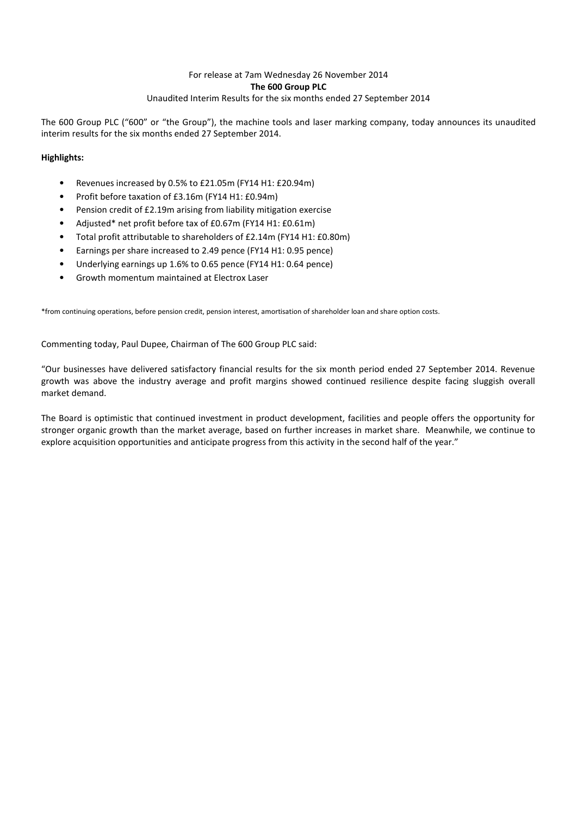## For release at 7am Wednesday 26 November 2014 **The 600 Group PLC** Unaudited Interim Results for the six months ended 27 September 2014

The 600 Group PLC ("600" or "the Group"), the machine tools and laser marking company, today announces its unaudited interim results for the six months ended 27 September 2014.

## **Highlights:**

- Revenues increased by 0.5% to £21.05m (FY14 H1: £20.94m)
- Profit before taxation of £3.16m (FY14 H1: £0.94m)
- Pension credit of £2.19m arising from liability mitigation exercise
- Adjusted\* net profit before tax of £0.67m (FY14 H1: £0.61m)
- Total profit attributable to shareholders of £2.14m (FY14 H1: £0.80m)
- Earnings per share increased to 2.49 pence (FY14 H1: 0.95 pence)
- Underlying earnings up 1.6% to 0.65 pence (FY14 H1: 0.64 pence)
- Growth momentum maintained at Electrox Laser

\*from continuing operations, before pension credit, pension interest, amortisation of shareholder loan and share option costs.

Commenting today, Paul Dupee, Chairman of The 600 Group PLC said:

"Our businesses have delivered satisfactory financial results for the six month period ended 27 September 2014. Revenue growth was above the industry average and profit margins showed continued resilience despite facing sluggish overall market demand.

The Board is optimistic that continued investment in product development, facilities and people offers the opportunity for stronger organic growth than the market average, based on further increases in market share. Meanwhile, we continue to explore acquisition opportunities and anticipate progress from this activity in the second half of the year."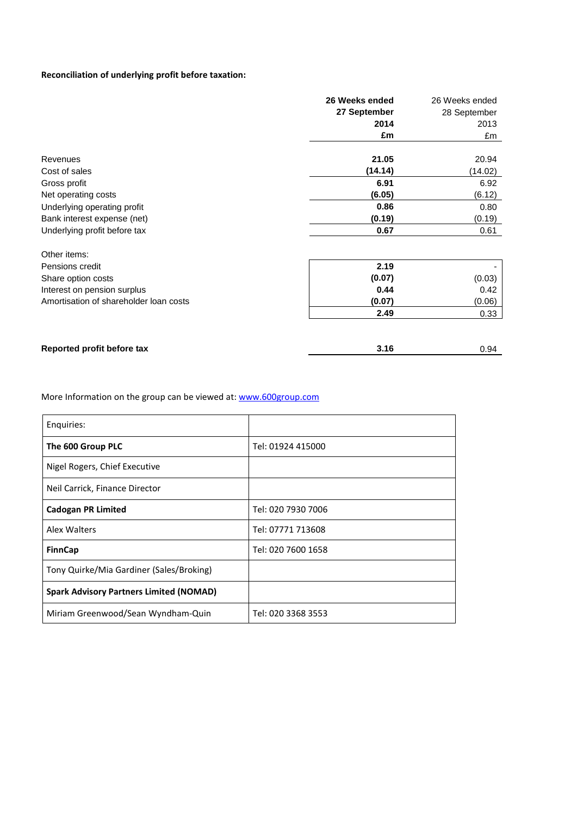## **Reconciliation of underlying profit before taxation:**

|                                        | 26 Weeks ended | 26 Weeks ended |
|----------------------------------------|----------------|----------------|
|                                        | 27 September   | 28 September   |
|                                        | 2014           | 2013           |
|                                        | £m             | £m             |
| Revenues                               | 21.05          | 20.94          |
| Cost of sales                          | (14.14)        | (14.02)        |
| Gross profit                           | 6.91           | 6.92           |
| Net operating costs                    | (6.05)         | (6.12)         |
| Underlying operating profit            | 0.86           | 0.80           |
| Bank interest expense (net)            | (0.19)         | (0.19)         |
| Underlying profit before tax           | 0.67           | 0.61           |
| Other items:                           |                |                |
| Pensions credit                        | 2.19           |                |
| Share option costs                     | (0.07)         | (0.03)         |
| Interest on pension surplus            | 0.44           | 0.42           |
| Amortisation of shareholder loan costs | (0.07)         | (0.06)         |
|                                        | 2.49           | 0.33           |
|                                        |                |                |
| Reported profit before tax             | 3.16           | 0.94           |

More Information on the group can be viewed at: [www.600group.com](http://www.600group.com/)

| Enquiries:                                     |                    |
|------------------------------------------------|--------------------|
| The 600 Group PLC                              | Tel: 01924 415000  |
| Nigel Rogers, Chief Executive                  |                    |
| Neil Carrick, Finance Director                 |                    |
| <b>Cadogan PR Limited</b>                      | Tel: 020 7930 7006 |
| Alex Walters                                   | Tel: 07771 713608  |
| <b>FinnCap</b>                                 | Tel: 020 7600 1658 |
| Tony Quirke/Mia Gardiner (Sales/Broking)       |                    |
| <b>Spark Advisory Partners Limited (NOMAD)</b> |                    |
| Miriam Greenwood/Sean Wyndham-Quin             | Tel: 020 3368 3553 |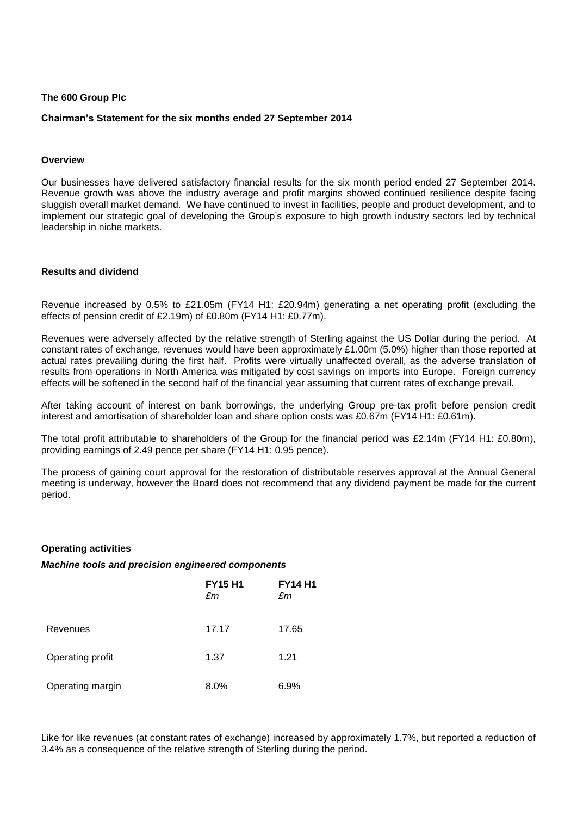### **The 600 Group Plc**

### **Chairman's Statement for the six months ended 27 September 2014**

### **Overview**

Our businesses have delivered satisfactory financial results for the six month period ended 27 September 2014. Revenue growth was above the industry average and profit margins showed continued resilience despite facing sluggish overall market demand. We have continued to invest in facilities, people and product development, and to implement our strategic goal of developing the Group's exposure to high growth industry sectors led by technical leadership in niche markets.

## **Results and dividend**

Revenue increased by 0.5% to £21.05m (FY14 H1: £20.94m) generating a net operating profit (excluding the effects of pension credit of £2.19m) of £0.80m (FY14 H1: £0.77m).

Revenues were adversely affected by the relative strength of Sterling against the US Dollar during the period. At constant rates of exchange, revenues would have been approximately £1.00m (5.0%) higher than those reported at actual rates prevailing during the first half. Profits were virtually unaffected overall, as the adverse translation of results from operations in North America was mitigated by cost savings on imports into Europe. Foreign currency effects will be softened in the second half of the financial year assuming that current rates of exchange prevail.

After taking account of interest on bank borrowings, the underlying Group pre-tax profit before pension credit interest and amortisation of shareholder loan and share option costs was £0.67m (FY14 H1: £0.61m).

The total profit attributable to shareholders of the Group for the financial period was £2.14m (FY14 H1: £0.80m), providing earnings of 2.49 pence per share (FY14 H1: 0.95 pence).

The process of gaining court approval for the restoration of distributable reserves approval at the Annual General meeting is underway, however the Board does not recommend that any dividend payment be made for the current period.

### **Operating activities**

### *Machine tools and precision engineered components*

|                  | <b>FY15 H1</b><br>£m | <b>FY14 H1</b><br>£m |
|------------------|----------------------|----------------------|
| Revenues         | 17.17                | 17.65                |
| Operating profit | 1.37                 | 1.21                 |
| Operating margin | 8.0%                 | 6.9%                 |

Like for like revenues (at constant rates of exchange) increased by approximately 1.7%, but reported a reduction of 3.4% as a consequence of the relative strength of Sterling during the period.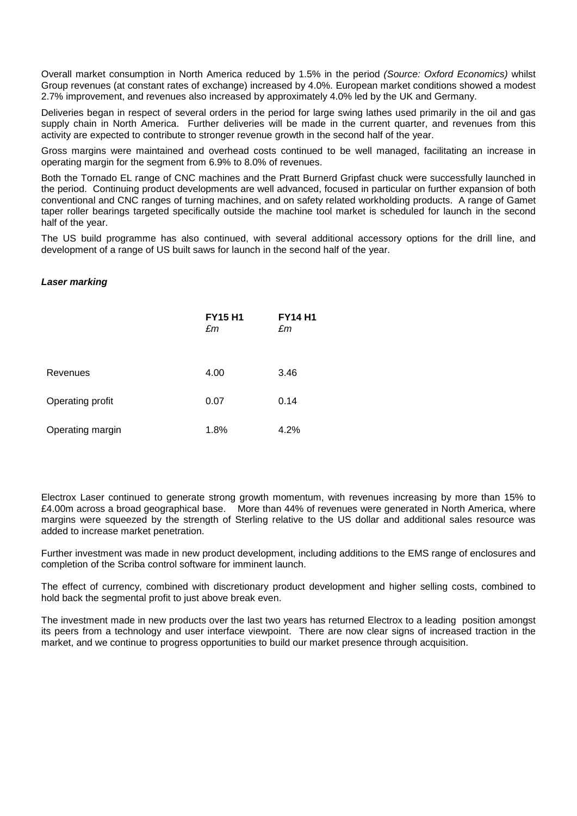Overall market consumption in North America reduced by 1.5% in the period *(Source: Oxford Economics)* whilst Group revenues (at constant rates of exchange) increased by 4.0%. European market conditions showed a modest 2.7% improvement, and revenues also increased by approximately 4.0% led by the UK and Germany.

Deliveries began in respect of several orders in the period for large swing lathes used primarily in the oil and gas supply chain in North America. Further deliveries will be made in the current quarter, and revenues from this activity are expected to contribute to stronger revenue growth in the second half of the year.

Gross margins were maintained and overhead costs continued to be well managed, facilitating an increase in operating margin for the segment from 6.9% to 8.0% of revenues.

Both the Tornado EL range of CNC machines and the Pratt Burnerd Gripfast chuck were successfully launched in the period. Continuing product developments are well advanced, focused in particular on further expansion of both conventional and CNC ranges of turning machines, and on safety related workholding products. A range of Gamet taper roller bearings targeted specifically outside the machine tool market is scheduled for launch in the second half of the year.

The US build programme has also continued, with several additional accessory options for the drill line, and development of a range of US built saws for launch in the second half of the year.

### *Laser marking*

|                  | <b>FY15 H1</b><br>£m | <b>FY14 H1</b><br>£m |
|------------------|----------------------|----------------------|
| Revenues         | 4.00                 | 3.46                 |
| Operating profit | 0.07                 | 0.14                 |
| Operating margin | 1.8%                 | 4.2%                 |

Electrox Laser continued to generate strong growth momentum, with revenues increasing by more than 15% to £4.00m across a broad geographical base. More than 44% of revenues were generated in North America, where margins were squeezed by the strength of Sterling relative to the US dollar and additional sales resource was added to increase market penetration.

Further investment was made in new product development, including additions to the EMS range of enclosures and completion of the Scriba control software for imminent launch.

The effect of currency, combined with discretionary product development and higher selling costs, combined to hold back the segmental profit to just above break even.

The investment made in new products over the last two years has returned Electrox to a leading position amongst its peers from a technology and user interface viewpoint. There are now clear signs of increased traction in the market, and we continue to progress opportunities to build our market presence through acquisition.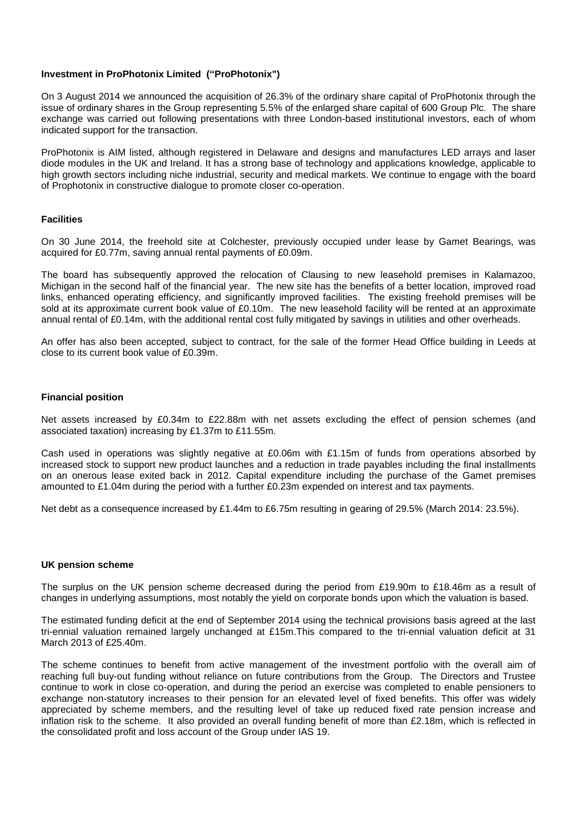## **Investment in ProPhotonix Limited ("ProPhotonix")**

On 3 August 2014 we announced the acquisition of 26.3% of the ordinary share capital of ProPhotonix through the issue of ordinary shares in the Group representing 5.5% of the enlarged share capital of 600 Group Plc. The share exchange was carried out following presentations with three London-based institutional investors, each of whom indicated support for the transaction.

ProPhotonix is AIM listed, although registered in Delaware and designs and manufactures LED arrays and laser diode modules in the UK and Ireland. It has a strong base of technology and applications knowledge, applicable to high growth sectors including niche industrial, security and medical markets. We continue to engage with the board of Prophotonix in constructive dialogue to promote closer co-operation.

## **Facilities**

On 30 June 2014, the freehold site at Colchester, previously occupied under lease by Gamet Bearings, was acquired for £0.77m, saving annual rental payments of £0.09m.

The board has subsequently approved the relocation of Clausing to new leasehold premises in Kalamazoo, Michigan in the second half of the financial year. The new site has the benefits of a better location, improved road links, enhanced operating efficiency, and significantly improved facilities. The existing freehold premises will be sold at its approximate current book value of £0.10m. The new leasehold facility will be rented at an approximate annual rental of £0.14m, with the additional rental cost fully mitigated by savings in utilities and other overheads.

An offer has also been accepted, subject to contract, for the sale of the former Head Office building in Leeds at close to its current book value of £0.39m.

## **Financial position**

Net assets increased by £0.34m to £22.88m with net assets excluding the effect of pension schemes (and associated taxation) increasing by £1.37m to £11.55m.

Cash used in operations was slightly negative at £0.06m with £1.15m of funds from operations absorbed by increased stock to support new product launches and a reduction in trade payables including the final installments on an onerous lease exited back in 2012. Capital expenditure including the purchase of the Gamet premises amounted to £1.04m during the period with a further £0.23m expended on interest and tax payments.

Net debt as a consequence increased by £1.44m to £6.75m resulting in gearing of 29.5% (March 2014: 23.5%).

## **UK pension scheme**

The surplus on the UK pension scheme decreased during the period from £19.90m to £18.46m as a result of changes in underlying assumptions, most notably the yield on corporate bonds upon which the valuation is based.

The estimated funding deficit at the end of September 2014 using the technical provisions basis agreed at the last tri-ennial valuation remained largely unchanged at £15m.This compared to the tri-ennial valuation deficit at 31 March 2013 of £25.40m.

The scheme continues to benefit from active management of the investment portfolio with the overall aim of reaching full buy-out funding without reliance on future contributions from the Group. The Directors and Trustee continue to work in close co-operation, and during the period an exercise was completed to enable pensioners to exchange non-statutory increases to their pension for an elevated level of fixed benefits. This offer was widely appreciated by scheme members, and the resulting level of take up reduced fixed rate pension increase and inflation risk to the scheme. It also provided an overall funding benefit of more than £2.18m, which is reflected in the consolidated profit and loss account of the Group under IAS 19.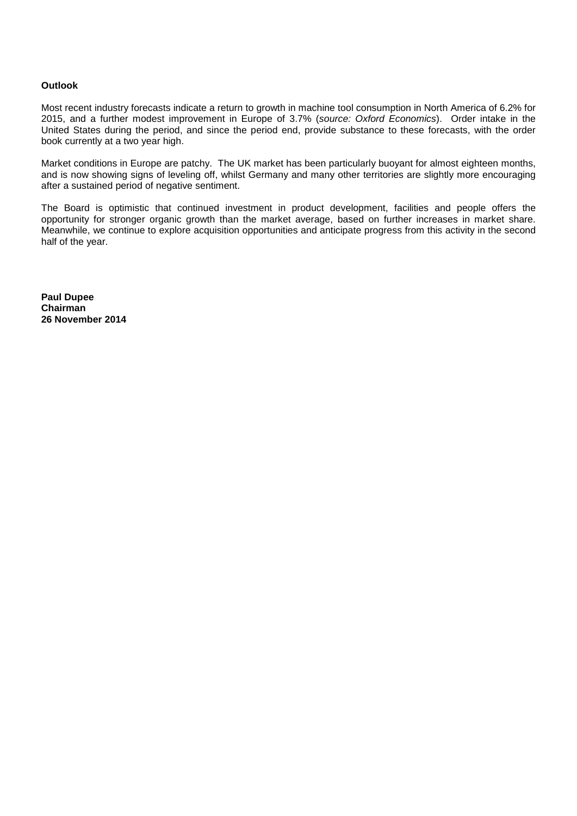## **Outlook**

Most recent industry forecasts indicate a return to growth in machine tool consumption in North America of 6.2% for 2015, and a further modest improvement in Europe of 3.7% (*source: Oxford Economics*). Order intake in the United States during the period, and since the period end, provide substance to these forecasts, with the order book currently at a two year high.

Market conditions in Europe are patchy. The UK market has been particularly buoyant for almost eighteen months, and is now showing signs of leveling off, whilst Germany and many other territories are slightly more encouraging after a sustained period of negative sentiment.

The Board is optimistic that continued investment in product development, facilities and people offers the opportunity for stronger organic growth than the market average, based on further increases in market share. Meanwhile, we continue to explore acquisition opportunities and anticipate progress from this activity in the second half of the year.

**Paul Dupee Chairman 26 November 2014**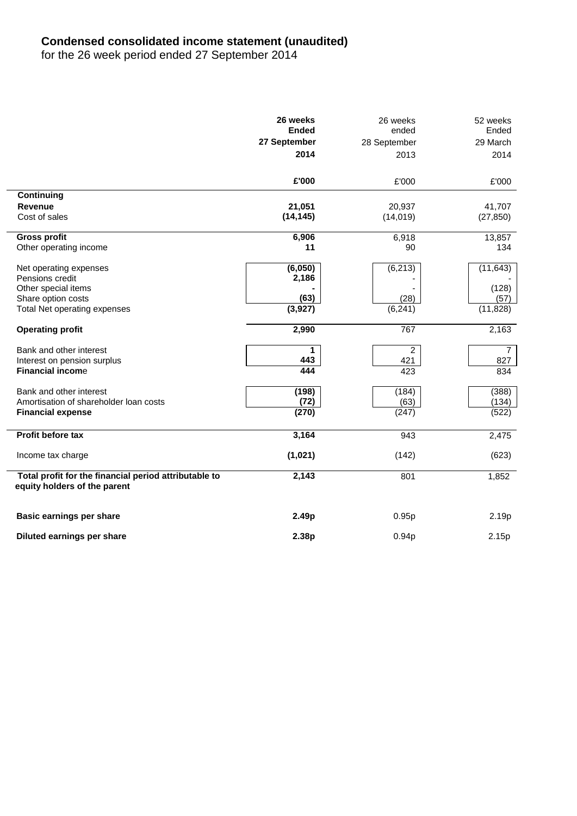# **Condensed consolidated income statement (unaudited)**

for the 26 week period ended 27 September 2014

|                                                                                       | 26 weeks<br><b>Ended</b><br>27 September | 26 weeks<br>ended<br>28 September | 52 weeks<br>Ended<br>29 March |
|---------------------------------------------------------------------------------------|------------------------------------------|-----------------------------------|-------------------------------|
|                                                                                       | 2014                                     | 2013                              | 2014                          |
|                                                                                       | £'000                                    | £'000                             | £'000                         |
| Continuing                                                                            |                                          |                                   |                               |
| <b>Revenue</b>                                                                        | 21,051                                   | 20,937                            | 41,707                        |
| Cost of sales                                                                         | (14, 145)                                | (14, 019)                         | (27, 850)                     |
| <b>Gross profit</b>                                                                   | 6,906                                    | 6,918                             | 13,857                        |
| Other operating income                                                                | 11                                       | 90                                | 134                           |
| Net operating expenses                                                                | (6,050)                                  | (6, 213)                          | (11, 643)                     |
| Pensions credit                                                                       | 2,186                                    |                                   |                               |
| Other special items                                                                   |                                          |                                   | (128)                         |
| Share option costs                                                                    | (63)                                     | (28)                              | (57)                          |
| Total Net operating expenses                                                          | (3,927)                                  | (6, 241)                          | (11, 828)                     |
| <b>Operating profit</b>                                                               | 2,990                                    | 767                               | 2,163                         |
| Bank and other interest                                                               | 1                                        | $\overline{2}$                    | $\overline{7}$                |
| Interest on pension surplus                                                           | 443                                      | 421                               | 827                           |
| <b>Financial income</b>                                                               | 444                                      | 423                               | 834                           |
| Bank and other interest                                                               | (198)                                    | (184)                             | (388)                         |
| Amortisation of shareholder loan costs                                                | (72)                                     | (63)                              | (134)                         |
| <b>Financial expense</b>                                                              | (270)                                    | (247)                             | (522)                         |
| <b>Profit before tax</b>                                                              | 3,164                                    | 943                               | 2,475                         |
| Income tax charge                                                                     | (1,021)                                  | (142)                             | (623)                         |
| Total profit for the financial period attributable to<br>equity holders of the parent | 2,143                                    | 801                               | 1,852                         |
| <b>Basic earnings per share</b>                                                       | 2.49p                                    | 0.95p                             | 2.19p                         |
| Diluted earnings per share                                                            | 2.38p                                    | 0.94p                             | 2.15p                         |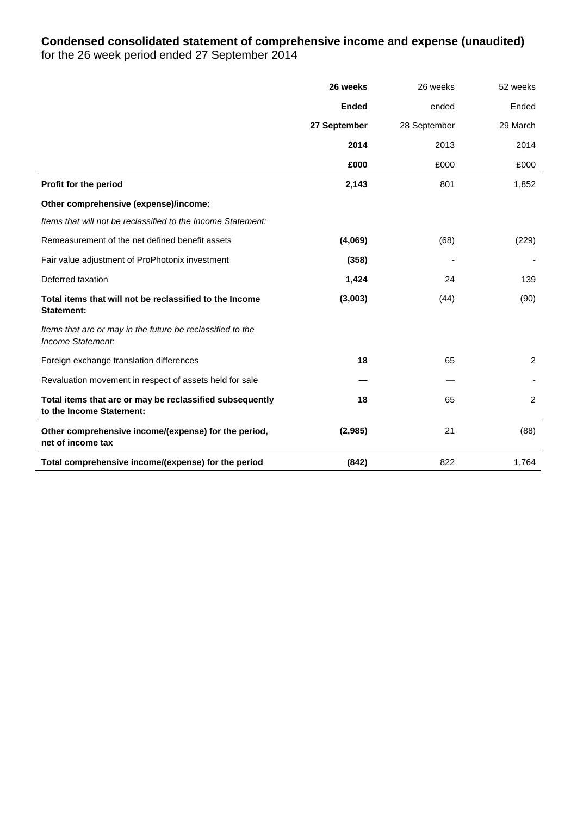# **Condensed consolidated statement of comprehensive income and expense (unaudited)** for the 26 week period ended 27 September 2014

|                                                                                      | 26 weeks     | 26 weeks     | 52 weeks       |
|--------------------------------------------------------------------------------------|--------------|--------------|----------------|
|                                                                                      | <b>Ended</b> | ended        | Ended          |
|                                                                                      | 27 September | 28 September | 29 March       |
|                                                                                      | 2014         | 2013         | 2014           |
|                                                                                      | £000         | £000         | £000           |
| Profit for the period                                                                | 2,143        | 801          | 1,852          |
| Other comprehensive (expense)/income:                                                |              |              |                |
| Items that will not be reclassified to the Income Statement:                         |              |              |                |
| Remeasurement of the net defined benefit assets                                      | (4,069)      | (68)         | (229)          |
| Fair value adjustment of ProPhotonix investment                                      | (358)        |              |                |
| Deferred taxation                                                                    | 1,424        | 24           | 139            |
| Total items that will not be reclassified to the Income<br><b>Statement:</b>         | (3,003)      | (44)         | (90)           |
| Items that are or may in the future be reclassified to the<br>Income Statement:      |              |              |                |
| Foreign exchange translation differences                                             | 18           | 65           | $\overline{2}$ |
| Revaluation movement in respect of assets held for sale                              |              |              |                |
| Total items that are or may be reclassified subsequently<br>to the Income Statement: | 18           | 65           | $\overline{2}$ |
| Other comprehensive income/(expense) for the period,<br>net of income tax            | (2,985)      | 21           | (88)           |
| Total comprehensive income/(expense) for the period                                  | (842)        | 822          | 1,764          |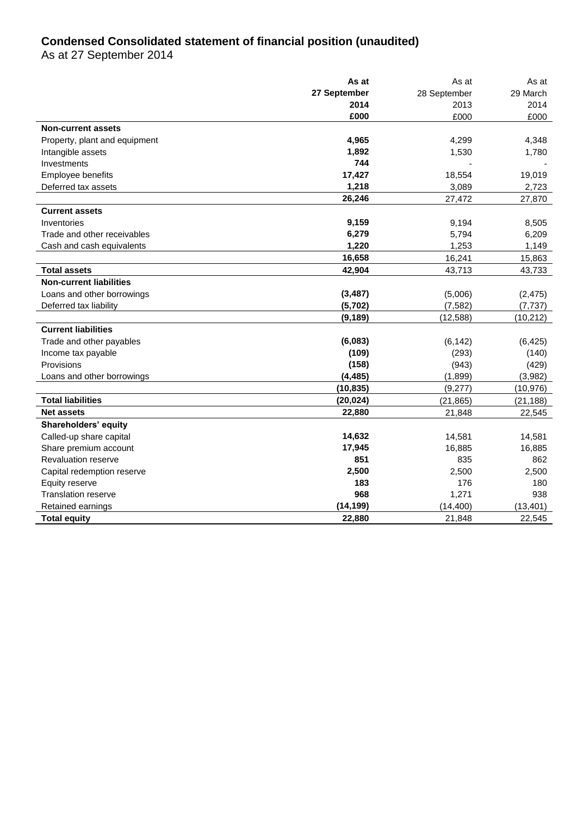# **Condensed Consolidated statement of financial position (unaudited)**

As at 27 September 2014

|                                | As at        | As at        | As at     |
|--------------------------------|--------------|--------------|-----------|
|                                | 27 September | 28 September | 29 March  |
|                                | 2014         | 2013         | 2014      |
|                                | £000         | £000         | £000      |
| <b>Non-current assets</b>      |              |              |           |
| Property, plant and equipment  | 4,965        | 4,299        | 4,348     |
| Intangible assets              | 1,892        | 1,530        | 1,780     |
| Investments                    | 744          |              |           |
| Employee benefits              | 17,427       | 18,554       | 19,019    |
| Deferred tax assets            | 1,218        | 3,089        | 2,723     |
|                                | 26,246       | 27,472       | 27,870    |
| <b>Current assets</b>          |              |              |           |
| Inventories                    | 9,159        | 9,194        | 8,505     |
| Trade and other receivables    | 6,279        | 5,794        | 6,209     |
| Cash and cash equivalents      | 1,220        | 1,253        | 1,149     |
|                                | 16,658       | 16,241       | 15,863    |
| <b>Total assets</b>            | 42,904       | 43,713       | 43,733    |
| <b>Non-current liabilities</b> |              |              |           |
| Loans and other borrowings     | (3, 487)     | (5,006)      | (2, 475)  |
| Deferred tax liability         | (5,702)      | (7, 582)     | (7, 737)  |
|                                | (9, 189)     | (12, 588)    | (10, 212) |
| <b>Current liabilities</b>     |              |              |           |
| Trade and other payables       | (6,083)      | (6, 142)     | (6, 425)  |
| Income tax payable             | (109)        | (293)        | (140)     |
| Provisions                     | (158)        | (943)        | (429)     |
| Loans and other borrowings     | (4, 485)     | (1,899)      | (3,982)   |
|                                | (10, 835)    | (9,277)      | (10, 976) |
| <b>Total liabilities</b>       | (20, 024)    | (21, 865)    | (21, 188) |
| <b>Net assets</b>              | 22,880       | 21,848       | 22,545    |
| Shareholders' equity           |              |              |           |
| Called-up share capital        | 14,632       | 14,581       | 14,581    |
| Share premium account          | 17,945       | 16,885       | 16,885    |
| <b>Revaluation reserve</b>     | 851          | 835          | 862       |
| Capital redemption reserve     | 2,500        | 2,500        | 2,500     |
| Equity reserve                 | 183          | 176          | 180       |
| <b>Translation reserve</b>     | 968          | 1,271        | 938       |
| Retained earnings              | (14, 199)    | (14, 400)    | (13, 401) |
| <b>Total equity</b>            | 22,880       | 21,848       | 22,545    |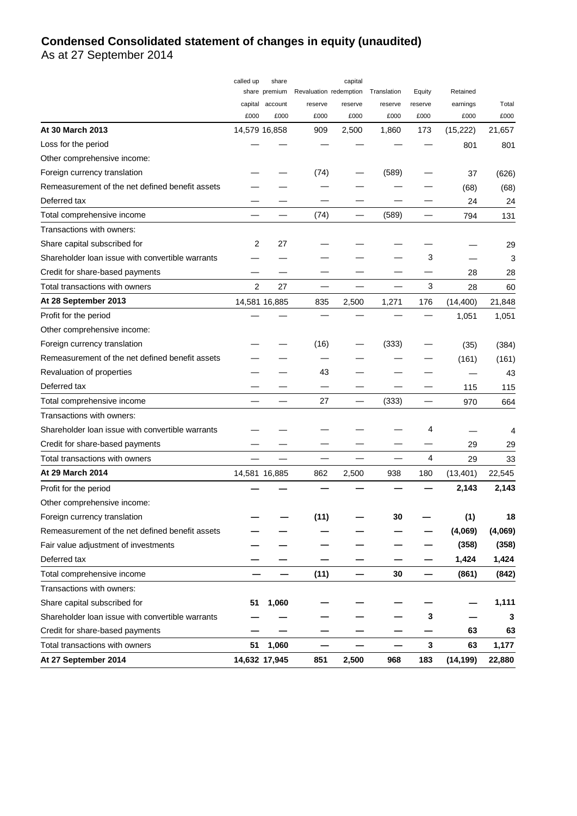# **Condensed Consolidated statement of changes in equity (unaudited)**

As at 27 September 2014

|                                                  | called up     | share           |                        | capital |             |         |           |         |
|--------------------------------------------------|---------------|-----------------|------------------------|---------|-------------|---------|-----------|---------|
|                                                  |               | share premium   | Revaluation redemption |         | Translation | Equity  | Retained  |         |
|                                                  |               | capital account | reserve                | reserve | reserve     | reserve | earnings  | Total   |
|                                                  | £000          | £000            | £000                   | £000    | £000        | £000    | £000      | £000    |
| At 30 March 2013                                 | 14,579 16,858 |                 | 909                    | 2,500   | 1,860       | 173     | (15, 222) | 21,657  |
| Loss for the period                              |               |                 |                        |         |             |         | 801       | 801     |
| Other comprehensive income:                      |               |                 |                        |         |             |         |           |         |
| Foreign currency translation                     |               |                 | (74)                   |         | (589)       |         | 37        | (626)   |
| Remeasurement of the net defined benefit assets  |               |                 |                        |         |             |         | (68)      | (68)    |
| Deferred tax                                     |               |                 |                        |         |             |         | 24        | 24      |
| Total comprehensive income                       |               |                 | (74)                   |         | (589)       |         | 794       | 131     |
| Transactions with owners:                        |               |                 |                        |         |             |         |           |         |
| Share capital subscribed for                     | 2             | 27              |                        |         |             |         |           | 29      |
| Shareholder loan issue with convertible warrants |               |                 |                        |         |             | 3       |           | 3       |
| Credit for share-based payments                  |               |                 |                        |         |             |         | 28        | 28      |
| Total transactions with owners                   | 2             | 27              |                        |         |             | 3       | 28        | 60      |
| At 28 September 2013                             |               | 14,581 16,885   | 835                    | 2,500   | 1,271       | 176     | (14, 400) | 21,848  |
| Profit for the period                            |               |                 |                        |         |             |         | 1,051     | 1,051   |
| Other comprehensive income:                      |               |                 |                        |         |             |         |           |         |
| Foreign currency translation                     |               |                 | (16)                   |         | (333)       |         | (35)      | (384)   |
| Remeasurement of the net defined benefit assets  |               |                 |                        |         |             |         | (161)     | (161)   |
| Revaluation of properties                        |               |                 | 43                     |         |             |         |           | 43      |
| Deferred tax                                     |               |                 |                        |         |             |         | 115       | 115     |
| Total comprehensive income                       |               |                 | 27                     |         | (333)       |         | 970       | 664     |
| Transactions with owners:                        |               |                 |                        |         |             |         |           |         |
| Shareholder loan issue with convertible warrants |               |                 |                        |         |             | 4       |           | 4       |
| Credit for share-based payments                  |               |                 |                        |         |             |         | 29        | 29      |
| Total transactions with owners                   |               |                 |                        |         |             | 4       | 29        | 33      |
| At 29 March 2014                                 |               | 14,581 16,885   | 862                    | 2,500   | 938         | 180     | (13, 401) | 22,545  |
| Profit for the period                            |               |                 |                        |         |             |         | 2,143     | 2,143   |
| Other comprehensive income:                      |               |                 |                        |         |             |         |           |         |
| Foreign currency translation                     |               |                 | (11)                   |         | 30          |         | (1)       | 18      |
| Remeasurement of the net defined benefit assets  |               |                 |                        |         |             |         | (4,069)   | (4,069) |
| Fair value adjustment of investments             |               |                 |                        |         |             |         | (358)     | (358)   |
| Deferred tax                                     |               |                 |                        |         |             |         | 1,424     | 1,424   |
| Total comprehensive income                       |               |                 | (11)                   |         | 30          |         | (861)     | (842)   |
| Transactions with owners:                        |               |                 |                        |         |             |         |           |         |
| Share capital subscribed for                     | 51            | 1,060           |                        |         |             |         |           | 1,111   |
| Shareholder loan issue with convertible warrants |               |                 |                        |         |             | 3       |           | 3       |
| Credit for share-based payments                  |               |                 |                        |         |             |         | 63        | 63      |
| Total transactions with owners                   | 51            | 1,060           |                        |         |             | 3       | 63        | 1,177   |
| At 27 September 2014                             |               | 14,632 17,945   | 851                    | 2,500   | 968         | 183     | (14, 199) | 22,880  |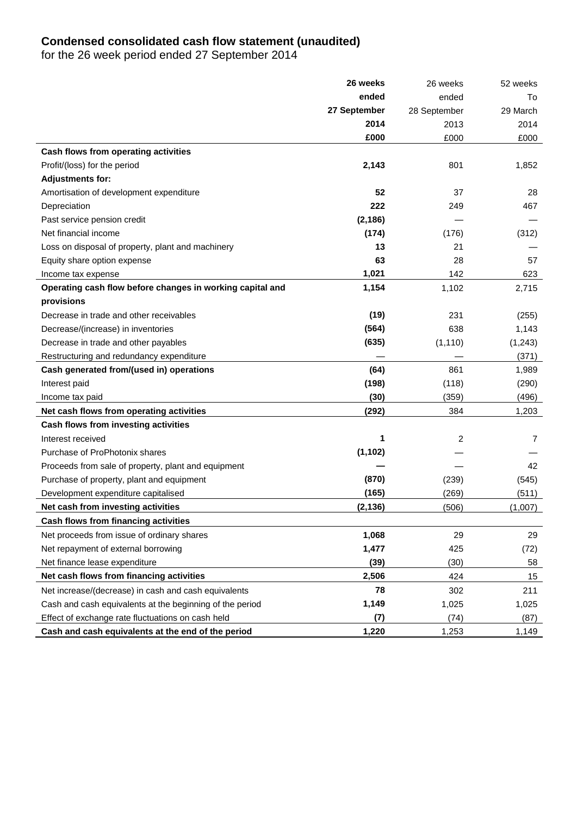# **Condensed consolidated cash flow statement (unaudited)**

for the 26 week period ended 27 September 2014

|                                                           | 26 weeks     | 26 weeks     | 52 weeks |
|-----------------------------------------------------------|--------------|--------------|----------|
|                                                           | ended        | ended        | To       |
|                                                           | 27 September | 28 September | 29 March |
|                                                           | 2014         | 2013         | 2014     |
|                                                           | £000         | £000         | £000     |
| Cash flows from operating activities                      |              |              |          |
| Profit/(loss) for the period                              | 2,143        | 801          | 1,852    |
| <b>Adjustments for:</b>                                   |              |              |          |
| Amortisation of development expenditure                   | 52           | 37           | 28       |
| Depreciation                                              | 222          | 249          | 467      |
| Past service pension credit                               | (2, 186)     |              |          |
| Net financial income                                      | (174)        | (176)        | (312)    |
| Loss on disposal of property, plant and machinery         | 13           | 21           |          |
| Equity share option expense                               | 63           | 28           | 57       |
| Income tax expense                                        | 1,021        | 142          | 623      |
| Operating cash flow before changes in working capital and | 1,154        | 1,102        | 2,715    |
| provisions                                                |              |              |          |
| Decrease in trade and other receivables                   | (19)         | 231          | (255)    |
| Decrease/(increase) in inventories                        | (564)        | 638          | 1,143    |
| Decrease in trade and other payables                      | (635)        | (1, 110)     | (1,243)  |
| Restructuring and redundancy expenditure                  |              |              | (371)    |
| Cash generated from/(used in) operations                  | (64)         | 861          | 1,989    |
| Interest paid                                             | (198)        | (118)        | (290)    |
| Income tax paid                                           | (30)         | (359)        | (496)    |
| Net cash flows from operating activities                  | (292)        | 384          | 1,203    |
| Cash flows from investing activities                      |              |              |          |
| Interest received                                         | 1            | 2            | 7        |
| Purchase of ProPhotonix shares                            | (1, 102)     |              |          |
| Proceeds from sale of property, plant and equipment       |              |              | 42       |
| Purchase of property, plant and equipment                 | (870)        | (239)        | (545)    |
| Development expenditure capitalised                       | (165)        | (269)        | (511)    |
| Net cash from investing activities                        | (2, 136)     | (506)        | (1,007)  |
| Cash flows from financing activities                      |              |              |          |
| Net proceeds from issue of ordinary shares                | 1,068        | 29           | 29       |
| Net repayment of external borrowing                       | 1,477        | 425          | (72)     |
| Net finance lease expenditure                             | (39)         | (30)         | 58       |
| Net cash flows from financing activities                  | 2,506        | 424          | 15       |
| Net increase/(decrease) in cash and cash equivalents      | 78           | 302          | 211      |
| Cash and cash equivalents at the beginning of the period  | 1,149        | 1,025        | 1,025    |
| Effect of exchange rate fluctuations on cash held         | (7)          | (74)         | (87)     |
| Cash and cash equivalents at the end of the period        | 1,220        | 1,253        | 1,149    |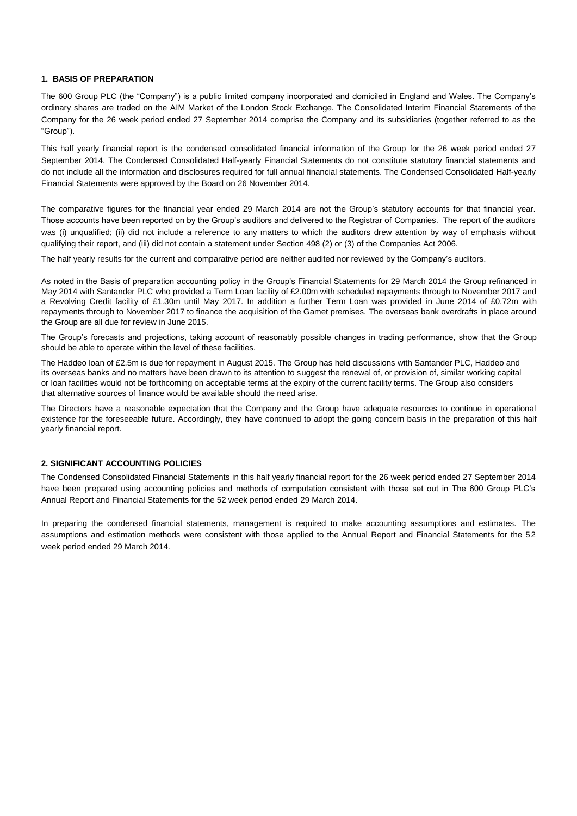### **1. BASIS OF PREPARATION**

The 600 Group PLC (the "Company") is a public limited company incorporated and domiciled in England and Wales. The Company's ordinary shares are traded on the AIM Market of the London Stock Exchange. The Consolidated Interim Financial Statements of the Company for the 26 week period ended 27 September 2014 comprise the Company and its subsidiaries (together referred to as the ―Group‖).

This half yearly financial report is the condensed consolidated financial information of the Group for the 26 week period ended 27 September 2014. The Condensed Consolidated Half-yearly Financial Statements do not constitute statutory financial statements and do not include all the information and disclosures required for full annual financial statements. The Condensed Consolidated Half-yearly Financial Statements were approved by the Board on 26 November 2014.

The comparative figures for the financial year ended 29 March 2014 are not the Group's statutory accounts for that financial year. Those accounts have been reported on by the Group's auditors and delivered to the Registrar of Companies. The report of the auditors was (i) unqualified; (ii) did not include a reference to any matters to which the auditors drew attention by way of emphasis without qualifying their report, and (iii) did not contain a statement under Section 498 (2) or (3) of the Companies Act 2006.

The half yearly results for the current and comparative period are neither audited nor reviewed by the Company's auditors.

As noted in the Basis of preparation accounting policy in the Group's Financial Statements for 29 March 2014 the Group refinanced in May 2014 with Santander PLC who provided a Term Loan facility of £2.00m with scheduled repayments through to November 2017 and a Revolving Credit facility of £1.30m until May 2017. In addition a further Term Loan was provided in June 2014 of £0.72m with repayments through to November 2017 to finance the acquisition of the Gamet premises. The overseas bank overdrafts in place around the Group are all due for review in June 2015.

The Group's forecasts and projections, taking account of reasonably possible changes in trading performance, show that the Group should be able to operate within the level of these facilities.

The Haddeo loan of £2.5m is due for repayment in August 2015. The Group has held discussions with Santander PLC, Haddeo and its overseas banks and no matters have been drawn to its attention to suggest the renewal of, or provision of, similar working capital or loan facilities would not be forthcoming on acceptable terms at the expiry of the current facility terms. The Group also considers that alternative sources of finance would be available should the need arise.

The Directors have a reasonable expectation that the Company and the Group have adequate resources to continue in operational existence for the foreseeable future. Accordingly, they have continued to adopt the going concern basis in the preparation of this half yearly financial report.

### **2. SIGNIFICANT ACCOUNTING POLICIES**

The Condensed Consolidated Financial Statements in this half yearly financial report for the 26 week period ended 27 September 2014 have been prepared using accounting policies and methods of computation consistent with those set out in The 600 Group PLC's Annual Report and Financial Statements for the 52 week period ended 29 March 2014.

In preparing the condensed financial statements, management is required to make accounting assumptions and estimates. The assumptions and estimation methods were consistent with those applied to the Annual Report and Financial Statements for the 52 week period ended 29 March 2014.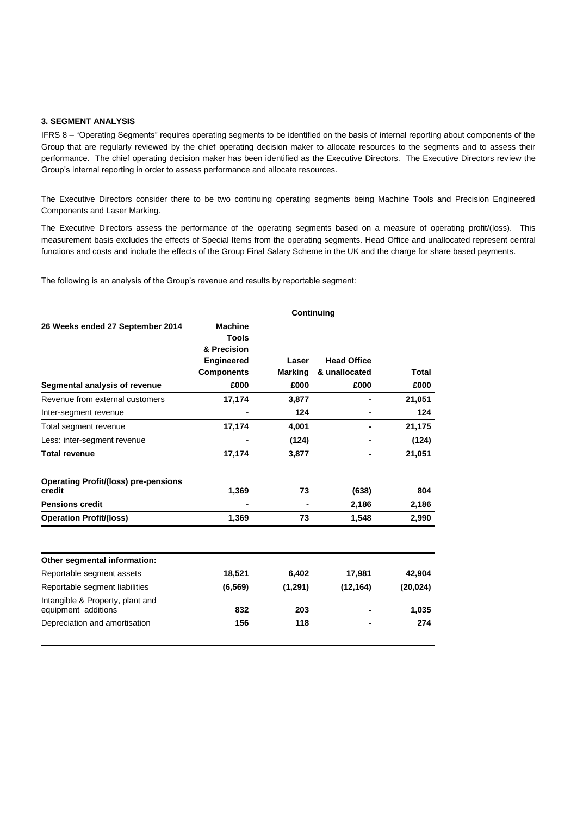### **3. SEGMENT ANALYSIS**

IFRS 8 - "Operating Segments" requires operating segments to be identified on the basis of internal reporting about components of the Group that are regularly reviewed by the chief operating decision maker to allocate resources to the segments and to assess their performance. The chief operating decision maker has been identified as the Executive Directors. The Executive Directors review the Group's internal reporting in order to assess performance and allocate resources.

The Executive Directors consider there to be two continuing operating segments being Machine Tools and Precision Engineered Components and Laser Marking.

The Executive Directors assess the performance of the operating segments based on a measure of operating profit/(loss). This measurement basis excludes the effects of Special Items from the operating segments. Head Office and unallocated represent central functions and costs and include the effects of the Group Final Salary Scheme in the UK and the charge for share based payments.

The following is an analysis of the Group's revenue and results by reportable segment:

|                                                         | <b>Continuing</b>                             |                |                    |           |  |  |
|---------------------------------------------------------|-----------------------------------------------|----------------|--------------------|-----------|--|--|
| 26 Weeks ended 27 September 2014                        | <b>Machine</b><br><b>Tools</b><br>& Precision |                |                    |           |  |  |
|                                                         | <b>Engineered</b>                             | Laser          | <b>Head Office</b> |           |  |  |
|                                                         | <b>Components</b>                             | <b>Marking</b> | & unallocated      | Total     |  |  |
| Segmental analysis of revenue                           | £000                                          | £000           | £000               | £000      |  |  |
| Revenue from external customers                         | 17,174                                        | 3,877          |                    | 21,051    |  |  |
| Inter-segment revenue                                   |                                               | 124            |                    | 124       |  |  |
| Total segment revenue                                   | 17,174                                        | 4,001          |                    | 21,175    |  |  |
| Less: inter-segment revenue                             |                                               | (124)          |                    | (124)     |  |  |
| <b>Total revenue</b>                                    | 17,174                                        | 3,877          | ۰                  | 21,051    |  |  |
| <b>Operating Profit/(loss) pre-pensions</b><br>credit   | 1,369                                         | 73             | (638)              | 804       |  |  |
| <b>Pensions credit</b>                                  |                                               |                | 2,186              | 2,186     |  |  |
| <b>Operation Profit/(loss)</b>                          | 1,369                                         | 73             | 1,548              | 2,990     |  |  |
| Other segmental information:                            |                                               |                |                    |           |  |  |
| Reportable segment assets                               | 18,521                                        | 6,402          | 17,981             | 42,904    |  |  |
| Reportable segment liabilities                          | (6, 569)                                      | (1,291)        | (12, 164)          | (20, 024) |  |  |
| Intangible & Property, plant and<br>equipment additions | 832                                           | 203            |                    | 1,035     |  |  |
|                                                         |                                               |                |                    |           |  |  |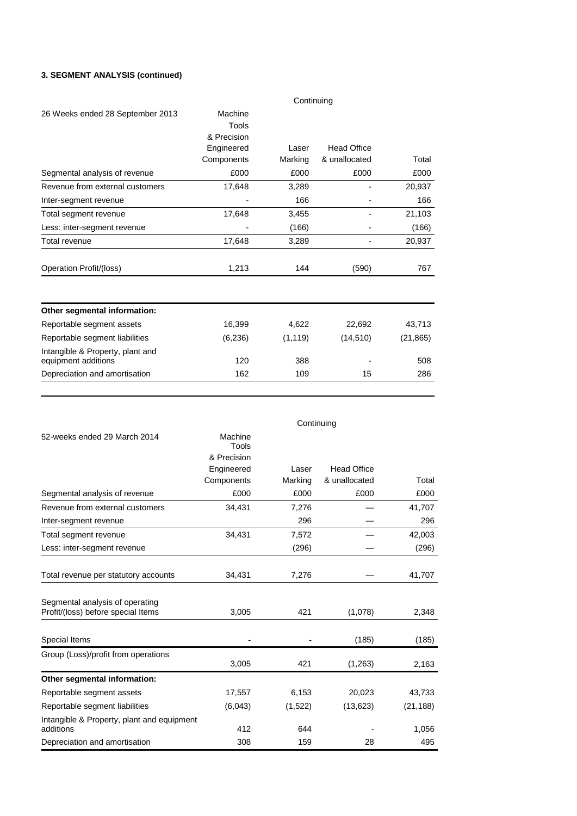## **3. SEGMENT ANALYSIS (continued)**

|                                                         | Continuing                      |          |                    |           |  |  |
|---------------------------------------------------------|---------------------------------|----------|--------------------|-----------|--|--|
| 26 Weeks ended 28 September 2013                        | Machine<br>Tools<br>& Precision |          |                    |           |  |  |
|                                                         | Engineered                      | Laser    | <b>Head Office</b> |           |  |  |
|                                                         | Components                      | Marking  | & unallocated      | Total     |  |  |
| Segmental analysis of revenue                           | £000                            | £000     | £000               | £000      |  |  |
| Revenue from external customers                         | 17,648                          | 3,289    |                    | 20,937    |  |  |
| Inter-segment revenue                                   |                                 | 166      |                    | 166       |  |  |
| Total segment revenue                                   | 17,648                          | 3,455    |                    | 21,103    |  |  |
| Less: inter-segment revenue                             |                                 | (166)    |                    | (166)     |  |  |
| Total revenue                                           | 17,648                          | 3,289    |                    | 20,937    |  |  |
| Operation Profit/(loss)                                 | 1,213                           | 144      | (590)              | 767       |  |  |
| Other segmental information:                            |                                 |          |                    |           |  |  |
| Reportable segment assets                               | 16,399                          | 4,622    | 22,692             | 43,713    |  |  |
| Reportable segment liabilities                          | (6, 236)                        | (1, 119) | (14, 510)          | (21, 865) |  |  |
| Intangible & Property, plant and<br>equipment additions | 120                             | 388      |                    | 508       |  |  |
| Depreciation and amortisation                           | 162                             | 109      | 15                 | 286       |  |  |

|                                                                       |                  | Continuing |                    |           |
|-----------------------------------------------------------------------|------------------|------------|--------------------|-----------|
| 52-weeks ended 29 March 2014                                          | Machine<br>Tools |            |                    |           |
|                                                                       | & Precision      |            |                    |           |
|                                                                       | Engineered       | Laser      | <b>Head Office</b> |           |
|                                                                       | Components       | Marking    | & unallocated      | Total     |
| Segmental analysis of revenue                                         | £000             | £000       | £000               | £000      |
| Revenue from external customers                                       | 34,431           | 7,276      |                    | 41,707    |
| Inter-segment revenue                                                 |                  | 296        |                    | 296       |
| Total segment revenue                                                 | 34,431           | 7,572      |                    | 42,003    |
| Less: inter-segment revenue                                           |                  | (296)      |                    | (296)     |
| Total revenue per statutory accounts                                  | 34,431           | 7,276      |                    | 41,707    |
| Segmental analysis of operating<br>Profit/(loss) before special Items | 3,005            | 421        | (1,078)            | 2,348     |
|                                                                       |                  |            |                    |           |
| Special Items                                                         |                  |            | (185)              | (185)     |
| Group (Loss)/profit from operations                                   | 3,005            | 421        | (1,263)            | 2,163     |
| Other segmental information:                                          |                  |            |                    |           |
| Reportable segment assets                                             | 17,557           | 6,153      | 20,023             | 43,733    |
| Reportable segment liabilities                                        | (6,043)          | (1,522)    | (13, 623)          | (21, 188) |
| Intangible & Property, plant and equipment<br>additions               | 412              | 644        |                    | 1,056     |
| Depreciation and amortisation                                         | 308              | 159        | 28                 | 495       |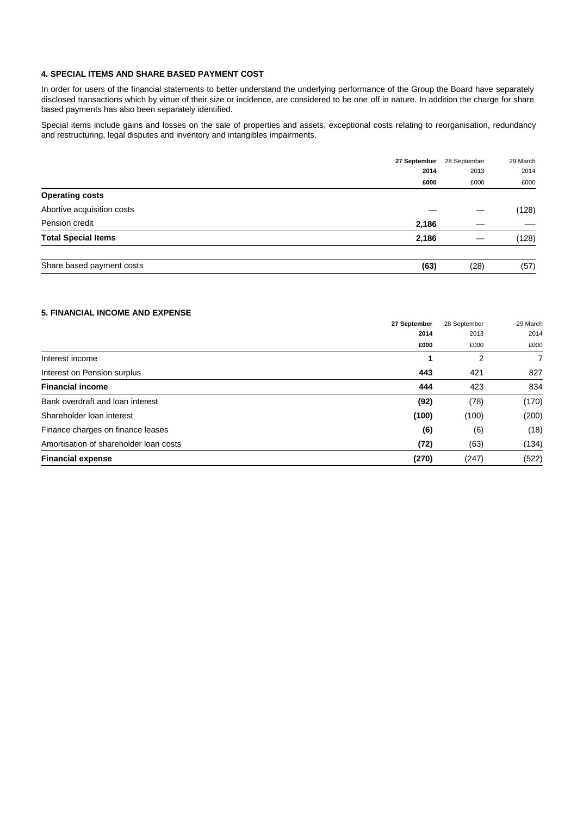### **4. SPECIAL ITEMS AND SHARE BASED PAYMENT COST**

In order for users of the financial statements to better understand the underlying performance of the Group the Board have separately disclosed transactions which by virtue of their size or incidence, are considered to be one off in nature. In addition the charge for share based payments has also been separately identified.

Special items include gains and losses on the sale of properties and assets, exceptional costs relating to reorganisation, redundancy and restructuring, legal disputes and inventory and intangibles impairments.

|                            | 27 September | 28 September | 29 March |
|----------------------------|--------------|--------------|----------|
|                            | 2014         | 2013         | 2014     |
|                            | £000         | £000         | £000     |
| <b>Operating costs</b>     |              |              |          |
| Abortive acquisition costs |              |              | (128)    |
| Pension credit             | 2,186        |              |          |
| <b>Total Special Items</b> | 2,186        |              | (128)    |
| Share based payment costs  | (63)         | (28)         | (57)     |

### **5. FINANCIAL INCOME AND EXPENSE**

|                                        | 27 September | 28 September | 29 March |
|----------------------------------------|--------------|--------------|----------|
|                                        | 2014         | 2013         | 2014     |
|                                        | £000         | £000         | £000     |
| Interest income                        |              | 2            | 7        |
| Interest on Pension surplus            | 443          | 421          | 827      |
| <b>Financial income</b>                | 444          | 423          | 834      |
| Bank overdraft and loan interest       | (92)         | (78)         | (170)    |
| Shareholder Ioan interest              | (100)        | (100)        | (200)    |
| Finance charges on finance leases      | (6)          | (6)          | (18)     |
| Amortisation of shareholder loan costs | (72)         | (63)         | (134)    |
| <b>Financial expense</b>               | (270)        | (247)        | (522)    |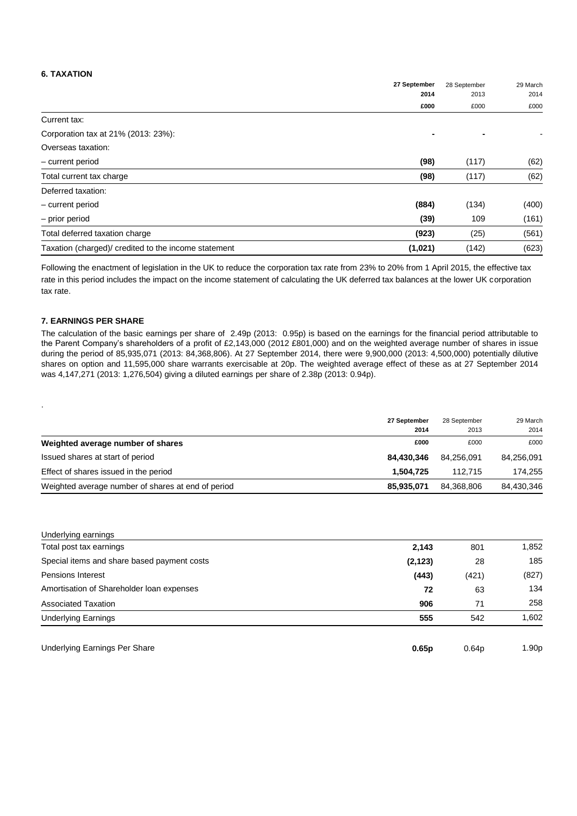## **6. TAXATION**

|                                                      | 27 September<br>2014 | 28 September | 29 March |
|------------------------------------------------------|----------------------|--------------|----------|
|                                                      |                      | 2013         | 2014     |
|                                                      | £000                 | £000         | £000     |
| Current tax:                                         |                      |              |          |
| Corporation tax at 21% (2013: 23%):                  |                      |              |          |
| Overseas taxation:                                   |                      |              |          |
| - current period                                     | (98)                 | (117)        | (62)     |
| Total current tax charge                             | (98)                 | (117)        | (62)     |
| Deferred taxation:                                   |                      |              |          |
| - current period                                     | (884)                | (134)        | (400)    |
| - prior period                                       | (39)                 | 109          | (161)    |
| Total deferred taxation charge                       | (923)                | (25)         | (561)    |
| Taxation (charged)/ credited to the income statement | (1,021)              | (142)        | (623)    |

Following the enactment of legislation in the UK to reduce the corporation tax rate from 23% to 20% from 1 April 2015, the effective tax rate in this period includes the impact on the income statement of calculating the UK deferred tax balances at the lower UK corporation tax rate.

### **7. EARNINGS PER SHARE**

.

The calculation of the basic earnings per share of 2.49p (2013: 0.95p) is based on the earnings for the financial period attributable to the Parent Company's shareholders of a profit of £2,143,000 (2012 £801,000) and on the weighted average number of shares in issue during the period of 85,935,071 (2013: 84,368,806). At 27 September 2014, there were 9,900,000 (2013: 4,500,000) potentially dilutive shares on option and 11,595,000 share warrants exercisable at 20p. The weighted average effect of these as at 27 September 2014 was 4,147,271 (2013: 1,276,504) giving a diluted earnings per share of 2.38p (2013: 0.94p).

|                                                    | 27 September | 28 September | 29 March   |
|----------------------------------------------------|--------------|--------------|------------|
|                                                    | 2014         | 2013         | 2014       |
| Weighted average number of shares                  | £000         | £000         | £000       |
| Issued shares at start of period                   | 84.430.346   | 84.256.091   | 84,256,091 |
| Effect of shares issued in the period              | 1.504.725    | 112.715      | 174,255    |
| Weighted average number of shares at end of period | 85,935,071   | 84.368.806   | 84,430,346 |

| Underlying earnings                         |          |       |       |
|---------------------------------------------|----------|-------|-------|
| Total post tax earnings                     | 2,143    | 801   | 1,852 |
| Special items and share based payment costs | (2, 123) | 28    | 185   |
| Pensions Interest                           | (443)    | (421) | (827) |
| Amortisation of Shareholder Ioan expenses   | 72       | 63    | 134   |
| <b>Associated Taxation</b>                  | 906      | 71    | 258   |
| <b>Underlying Earnings</b>                  | 555      | 542   | 1,602 |
|                                             |          |       |       |

| Underlying Earnings Per Share | 0.65p | 0.64 <sub>D</sub> | 1.90p |
|-------------------------------|-------|-------------------|-------|
|                               |       |                   |       |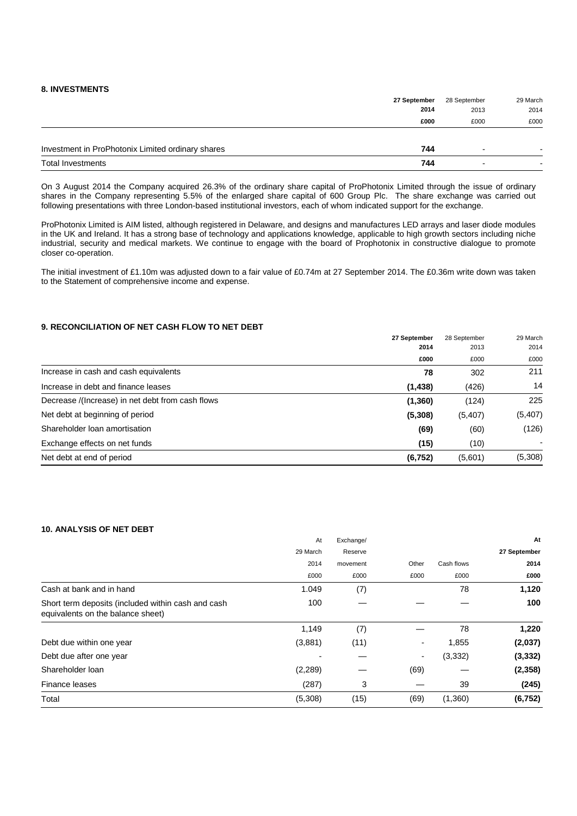### **8. INVESTMENTS**

|                                                   | 27 September | 28 September | 29 March |
|---------------------------------------------------|--------------|--------------|----------|
|                                                   | 2014         | 2013         | 2014     |
|                                                   | £000         | £000         | £000     |
| Investment in ProPhotonix Limited ordinary shares | 744          |              |          |
|                                                   |              |              |          |
| <b>Total Investments</b>                          | 744          | -            |          |

On 3 August 2014 the Company acquired 26.3% of the ordinary share capital of ProPhotonix Limited through the issue of ordinary shares in the Company representing 5.5% of the enlarged share capital of 600 Group Plc. The share exchange was carried out following presentations with three London-based institutional investors, each of whom indicated support for the exchange.

ProPhotonix Limited is AIM listed, although registered in Delaware, and designs and manufactures LED arrays and laser diode modules in the UK and Ireland. It has a strong base of technology and applications knowledge, applicable to high growth sectors including niche industrial, security and medical markets. We continue to engage with the board of Prophotonix in constructive dialogue to promote closer co-operation.

The initial investment of £1.10m was adjusted down to a fair value of £0.74m at 27 September 2014. The £0.36m write down was taken to the Statement of comprehensive income and expense.

### **9. RECONCILIATION OF NET CASH FLOW TO NET DEBT**

|                                                  | 27 September<br>2014 | 28 September | 29 March |
|--------------------------------------------------|----------------------|--------------|----------|
|                                                  |                      | 2013         | 2014     |
|                                                  | £000                 | £000         | £000     |
| Increase in cash and cash equivalents            | 78                   | 302          | 211      |
| Increase in debt and finance leases              | (1, 438)             | (426)        | 14       |
| Decrease /(Increase) in net debt from cash flows | (1,360)              | (124)        | 225      |
| Net debt at beginning of period                  | (5,308)              | (5,407)      | (5, 407) |
| Shareholder loan amortisation                    | (69)                 | (60)         | (126)    |
| Exchange effects on net funds                    | (15)                 | (10)         | ۰.       |
| Net debt at end of period                        | (6, 752)             | (5,601)      | (5,308)  |

### **10. ANALYSIS OF NET DEBT**

|                                                                                         | At       | Exchange/ |       |            | At           |
|-----------------------------------------------------------------------------------------|----------|-----------|-------|------------|--------------|
|                                                                                         | 29 March | Reserve   |       |            | 27 September |
|                                                                                         | 2014     | movement  | Other | Cash flows | 2014         |
|                                                                                         | £000     | £000      | £000  | £000       | £000         |
| Cash at bank and in hand                                                                | 1.049    | (7)       |       | 78         | 1,120        |
| Short term deposits (included within cash and cash<br>equivalents on the balance sheet) | 100      |           |       |            | 100          |
|                                                                                         | 1,149    | (7)       |       | 78         | 1,220        |
| Debt due within one year                                                                | (3,881)  | (11)      | ۰.    | 1,855      | (2,037)      |
| Debt due after one year                                                                 |          |           | ۰.    | (3,332)    | (3, 332)     |
| Shareholder loan                                                                        | (2,289)  |           | (69)  |            | (2,358)      |
| Finance leases                                                                          | (287)    | 3         |       | 39         | (245)        |
| Total                                                                                   | (5,308)  | (15)      | (69)  | (1,360)    | (6, 752)     |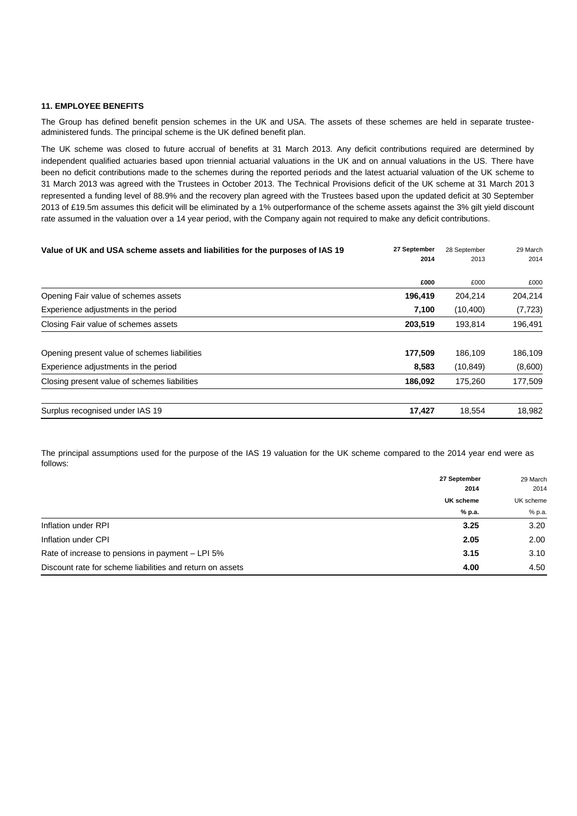#### **11. EMPLOYEE BENEFITS**

The Group has defined benefit pension schemes in the UK and USA. The assets of these schemes are held in separate trusteeadministered funds. The principal scheme is the UK defined benefit plan.

The UK scheme was closed to future accrual of benefits at 31 March 2013. Any deficit contributions required are determined by independent qualified actuaries based upon triennial actuarial valuations in the UK and on annual valuations in the US. There have been no deficit contributions made to the schemes during the reported periods and the latest actuarial valuation of the UK scheme to 31 March 2013 was agreed with the Trustees in October 2013. The Technical Provisions deficit of the UK scheme at 31 March 2013 represented a funding level of 88.9% and the recovery plan agreed with the Trustees based upon the updated deficit at 30 September 2013 of £19.5m assumes this deficit will be eliminated by a 1% outperformance of the scheme assets against the 3% gilt yield discount rate assumed in the valuation over a 14 year period, with the Company again not required to make any deficit contributions.

| 27 September | 28 September | 29 March |
|--------------|--------------|----------|
| 2014         | 2013         | 2014     |
| £000         | £000         | £000     |
| 196,419      | 204,214      | 204,214  |
| 7,100        | (10, 400)    | (7, 723) |
| 203,519      | 193,814      | 196,491  |
| 177,509      | 186,109      | 186,109  |
| 8,583        | (10, 849)    | (8,600)  |
| 186,092      | 175,260      | 177,509  |
| 17,427       | 18,554       | 18,982   |
|              |              |          |

The principal assumptions used for the purpose of the IAS 19 valuation for the UK scheme compared to the 2014 year end were as follows:

|                                                           | 27 September                | 29 March<br>2014<br>UK scheme<br>% p.a. |
|-----------------------------------------------------------|-----------------------------|-----------------------------------------|
|                                                           | 2014<br>UK scheme<br>% p.a. |                                         |
|                                                           |                             |                                         |
|                                                           |                             |                                         |
| Inflation under RPI                                       | 3.25                        | 3.20                                    |
| Inflation under CPI                                       | 2.05                        | 2.00                                    |
| Rate of increase to pensions in payment – LPI 5%          | 3.15                        | 3.10                                    |
| Discount rate for scheme liabilities and return on assets | 4.00                        | 4.50                                    |